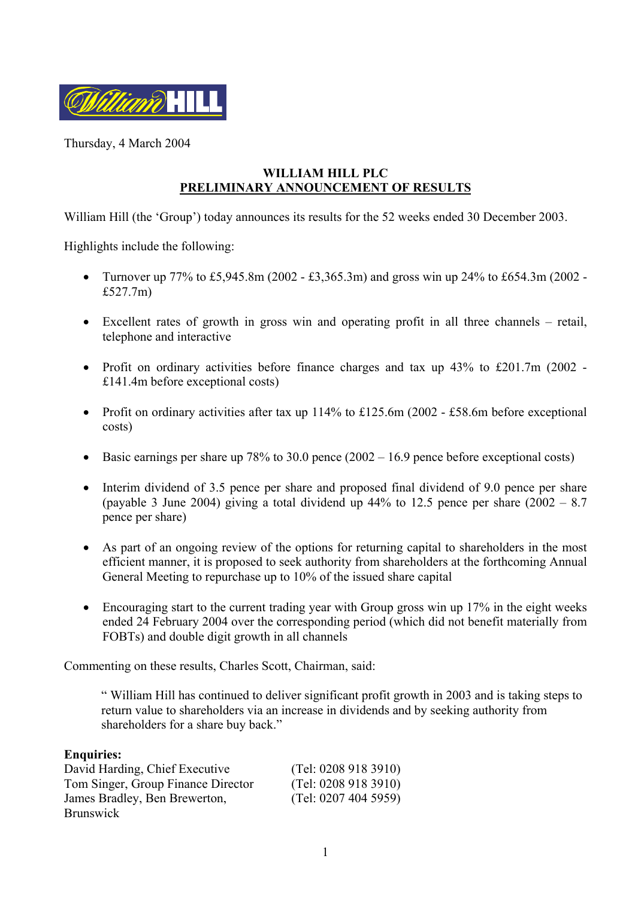

Thursday, 4 March 2004

## **WILLIAM HILL PLC PRELIMINARY ANNOUNCEMENT OF RESULTS**

William Hill (the 'Group') today announces its results for the 52 weeks ended 30 December 2003.

Highlights include the following:

- Turnover up  $77\%$  to £5,945.8m (2002 £3,365.3m) and gross win up 24% to £654.3m (2002 -£527.7m)
- Excellent rates of growth in gross win and operating profit in all three channels retail, telephone and interactive
- Profit on ordinary activities before finance charges and tax up 43% to £201.7m (2002 -£141.4m before exceptional costs)
- Profit on ordinary activities after tax up 114% to £125.6m (2002 £58.6m before exceptional costs)
- Basic earnings per share up  $78\%$  to 30.0 pence  $(2002 16.9)$  pence before exceptional costs)
- Interim dividend of 3.5 pence per share and proposed final dividend of 9.0 pence per share (payable 3 June 2004) giving a total dividend up  $44\%$  to 12.5 pence per share  $(2002 - 8.7)$ pence per share)
- As part of an ongoing review of the options for returning capital to shareholders in the most efficient manner, it is proposed to seek authority from shareholders at the forthcoming Annual General Meeting to repurchase up to 10% of the issued share capital
- Encouraging start to the current trading year with Group gross win up 17% in the eight weeks ended 24 February 2004 over the corresponding period (which did not benefit materially from FOBTs) and double digit growth in all channels

Commenting on these results, Charles Scott, Chairman, said:

" William Hill has continued to deliver significant profit growth in 2003 and is taking steps to return value to shareholders via an increase in dividends and by seeking authority from shareholders for a share buy back."

#### **Enquiries:**

| David Harding, Chief Executive     | (Tel: 02089183910)   |
|------------------------------------|----------------------|
| Tom Singer, Group Finance Director | (Tel: 02089183910)   |
| James Bradley, Ben Brewerton,      | (Tel: 0207 404 5959) |
| <b>Brunswick</b>                   |                      |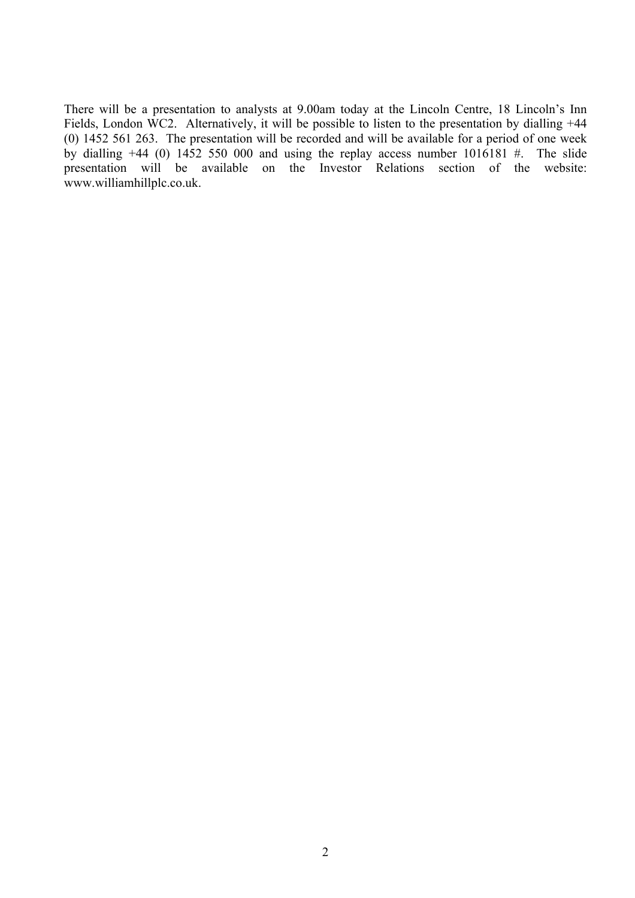There will be a presentation to analysts at 9.00am today at the Lincoln Centre, 18 Lincoln's Inn Fields, London WC2. Alternatively, it will be possible to listen to the presentation by dialling +44 (0) 1452 561 263. The presentation will be recorded and will be available for a period of one week by dialling  $+44$  (0) 1452 550 000 and using the replay access number 1016181 #. The slide presentation will be available on the Investor Relations section of the website: www.williamhillplc.co.uk.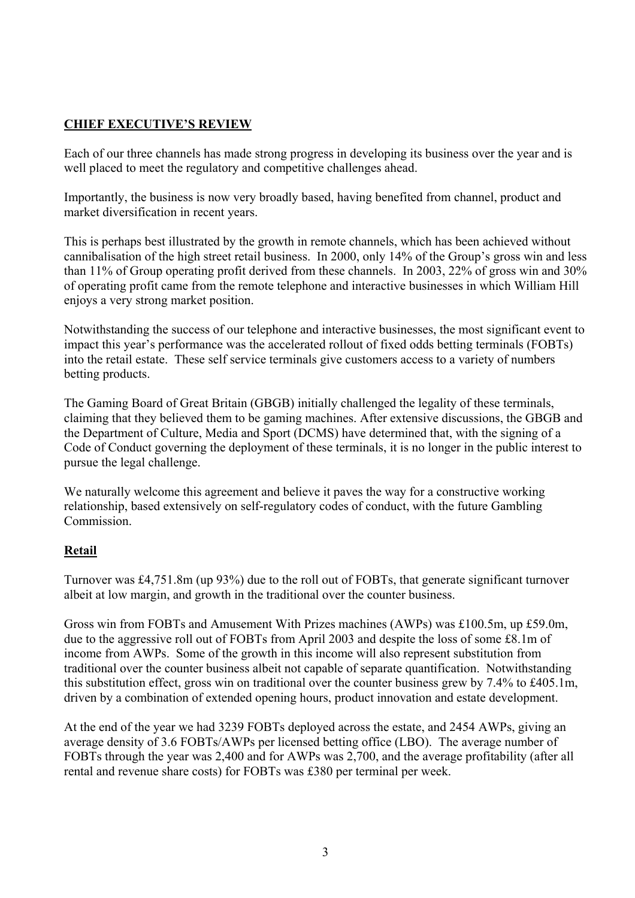# **CHIEF EXECUTIVE'S REVIEW**

Each of our three channels has made strong progress in developing its business over the year and is well placed to meet the regulatory and competitive challenges ahead.

Importantly, the business is now very broadly based, having benefited from channel, product and market diversification in recent years.

This is perhaps best illustrated by the growth in remote channels, which has been achieved without cannibalisation of the high street retail business. In 2000, only 14% of the Group's gross win and less than 11% of Group operating profit derived from these channels. In 2003, 22% of gross win and 30% of operating profit came from the remote telephone and interactive businesses in which William Hill enjoys a very strong market position.

Notwithstanding the success of our telephone and interactive businesses, the most significant event to impact this year's performance was the accelerated rollout of fixed odds betting terminals (FOBTs) into the retail estate. These self service terminals give customers access to a variety of numbers betting products.

The Gaming Board of Great Britain (GBGB) initially challenged the legality of these terminals, claiming that they believed them to be gaming machines. After extensive discussions, the GBGB and the Department of Culture, Media and Sport (DCMS) have determined that, with the signing of a Code of Conduct governing the deployment of these terminals, it is no longer in the public interest to pursue the legal challenge.

We naturally welcome this agreement and believe it paves the way for a constructive working relationship, based extensively on self-regulatory codes of conduct, with the future Gambling **Commission** 

### **Retail**

Turnover was £4,751.8m (up 93%) due to the roll out of FOBTs, that generate significant turnover albeit at low margin, and growth in the traditional over the counter business.

Gross win from FOBTs and Amusement With Prizes machines (AWPs) was £100.5m, up £59.0m, due to the aggressive roll out of FOBTs from April 2003 and despite the loss of some £8.1m of income from AWPs. Some of the growth in this income will also represent substitution from traditional over the counter business albeit not capable of separate quantification. Notwithstanding this substitution effect, gross win on traditional over the counter business grew by 7.4% to £405.1m, driven by a combination of extended opening hours, product innovation and estate development.

At the end of the year we had 3239 FOBTs deployed across the estate, and 2454 AWPs, giving an average density of 3.6 FOBTs/AWPs per licensed betting office (LBO). The average number of FOBTs through the year was 2,400 and for AWPs was 2,700, and the average profitability (after all rental and revenue share costs) for FOBTs was £380 per terminal per week.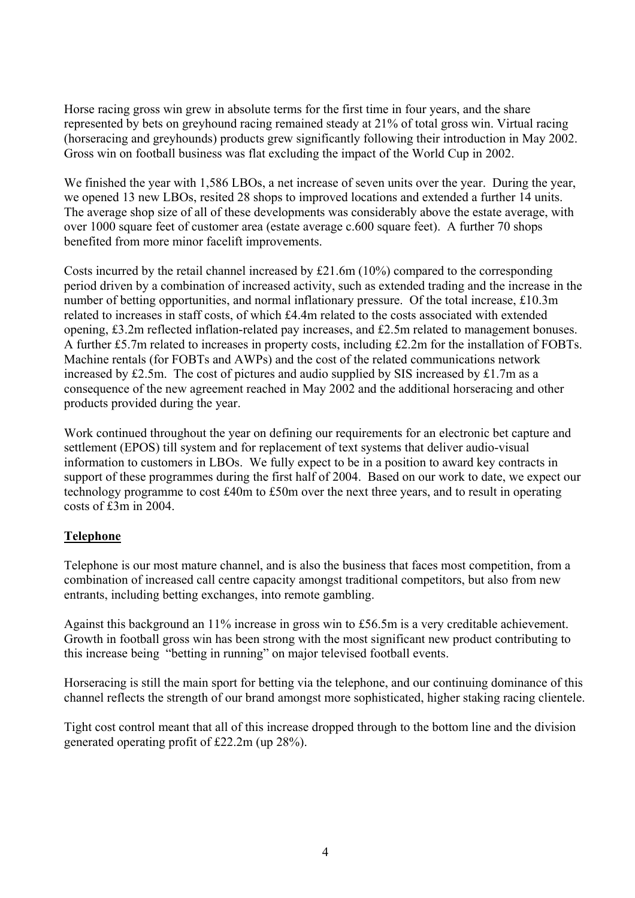Horse racing gross win grew in absolute terms for the first time in four years, and the share represented by bets on greyhound racing remained steady at 21% of total gross win. Virtual racing (horseracing and greyhounds) products grew significantly following their introduction in May 2002. Gross win on football business was flat excluding the impact of the World Cup in 2002.

We finished the year with 1,586 LBOs, a net increase of seven units over the year. During the year, we opened 13 new LBOs, resited 28 shops to improved locations and extended a further 14 units. The average shop size of all of these developments was considerably above the estate average, with over 1000 square feet of customer area (estate average c.600 square feet). A further 70 shops benefited from more minor facelift improvements.

Costs incurred by the retail channel increased by £21.6m (10%) compared to the corresponding period driven by a combination of increased activity, such as extended trading and the increase in the number of betting opportunities, and normal inflationary pressure. Of the total increase, £10.3m related to increases in staff costs, of which £4.4m related to the costs associated with extended opening, £3.2m reflected inflation-related pay increases, and £2.5m related to management bonuses. A further £5.7m related to increases in property costs, including £2.2m for the installation of FOBTs. Machine rentals (for FOBTs and AWPs) and the cost of the related communications network increased by £2.5m. The cost of pictures and audio supplied by SIS increased by £1.7m as a consequence of the new agreement reached in May 2002 and the additional horseracing and other products provided during the year.

Work continued throughout the year on defining our requirements for an electronic bet capture and settlement (EPOS) till system and for replacement of text systems that deliver audio-visual information to customers in LBOs. We fully expect to be in a position to award key contracts in support of these programmes during the first half of 2004. Based on our work to date, we expect our technology programme to cost £40m to £50m over the next three years, and to result in operating costs of £3m in 2004.

### **Telephone**

Telephone is our most mature channel, and is also the business that faces most competition, from a combination of increased call centre capacity amongst traditional competitors, but also from new entrants, including betting exchanges, into remote gambling.

Against this background an 11% increase in gross win to £56.5m is a very creditable achievement. Growth in football gross win has been strong with the most significant new product contributing to this increase being "betting in running" on major televised football events.

Horseracing is still the main sport for betting via the telephone, and our continuing dominance of this channel reflects the strength of our brand amongst more sophisticated, higher staking racing clientele.

Tight cost control meant that all of this increase dropped through to the bottom line and the division generated operating profit of £22.2m (up 28%).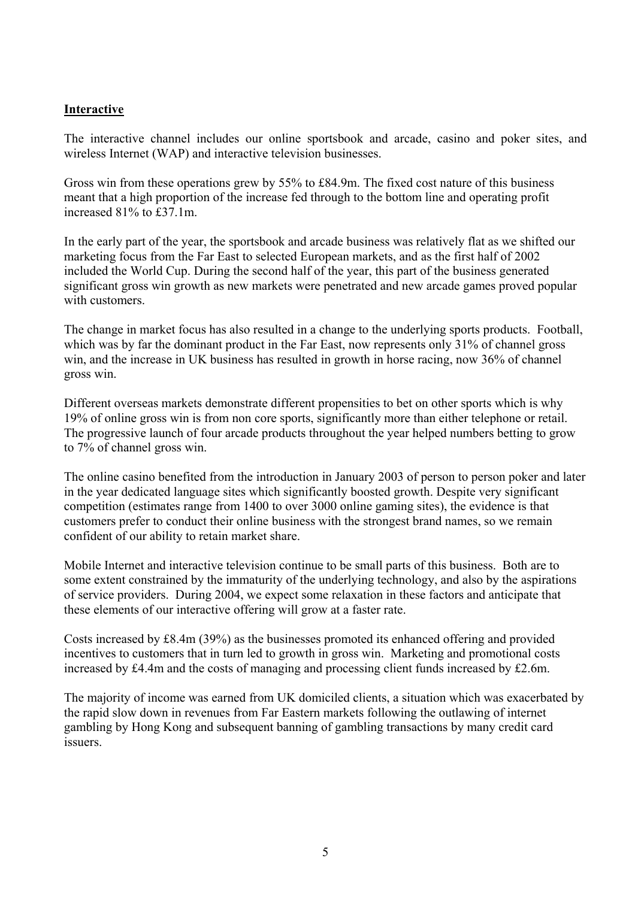#### **Interactive**

The interactive channel includes our online sportsbook and arcade, casino and poker sites, and wireless Internet (WAP) and interactive television businesses.

Gross win from these operations grew by 55% to £84.9m. The fixed cost nature of this business meant that a high proportion of the increase fed through to the bottom line and operating profit increased 81% to £37.1m.

In the early part of the year, the sportsbook and arcade business was relatively flat as we shifted our marketing focus from the Far East to selected European markets, and as the first half of 2002 included the World Cup. During the second half of the year, this part of the business generated significant gross win growth as new markets were penetrated and new arcade games proved popular with customers.

The change in market focus has also resulted in a change to the underlying sports products. Football, which was by far the dominant product in the Far East, now represents only 31% of channel gross win, and the increase in UK business has resulted in growth in horse racing, now 36% of channel gross win.

Different overseas markets demonstrate different propensities to bet on other sports which is why 19% of online gross win is from non core sports, significantly more than either telephone or retail. The progressive launch of four arcade products throughout the year helped numbers betting to grow to 7% of channel gross win.

The online casino benefited from the introduction in January 2003 of person to person poker and later in the year dedicated language sites which significantly boosted growth. Despite very significant competition (estimates range from 1400 to over 3000 online gaming sites), the evidence is that customers prefer to conduct their online business with the strongest brand names, so we remain confident of our ability to retain market share.

Mobile Internet and interactive television continue to be small parts of this business. Both are to some extent constrained by the immaturity of the underlying technology, and also by the aspirations of service providers. During 2004, we expect some relaxation in these factors and anticipate that these elements of our interactive offering will grow at a faster rate.

Costs increased by £8.4m (39%) as the businesses promoted its enhanced offering and provided incentives to customers that in turn led to growth in gross win. Marketing and promotional costs increased by £4.4m and the costs of managing and processing client funds increased by £2.6m.

The majority of income was earned from UK domiciled clients, a situation which was exacerbated by the rapid slow down in revenues from Far Eastern markets following the outlawing of internet gambling by Hong Kong and subsequent banning of gambling transactions by many credit card issuers.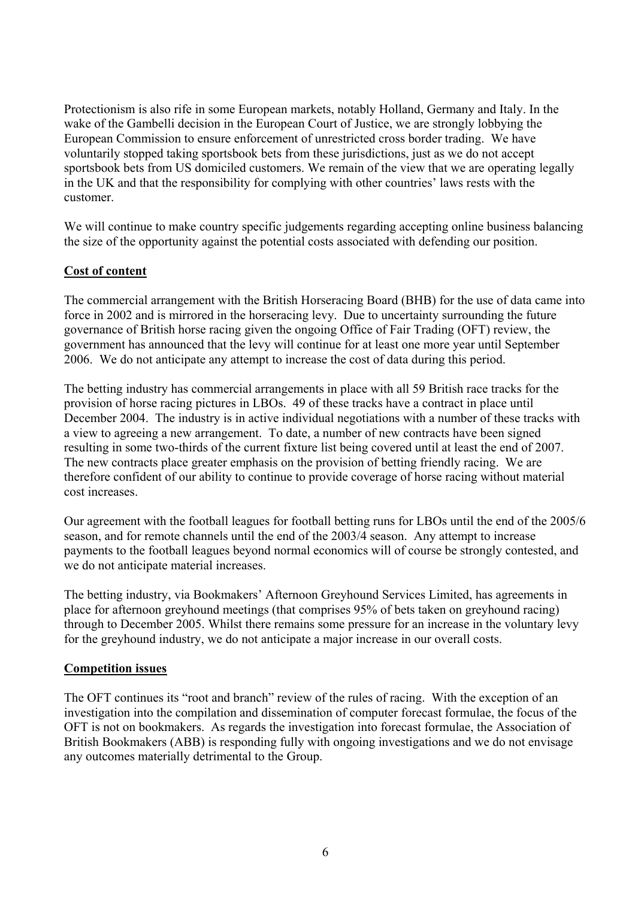Protectionism is also rife in some European markets, notably Holland, Germany and Italy. In the wake of the Gambelli decision in the European Court of Justice, we are strongly lobbying the European Commission to ensure enforcement of unrestricted cross border trading. We have voluntarily stopped taking sportsbook bets from these jurisdictions, just as we do not accept sportsbook bets from US domiciled customers. We remain of the view that we are operating legally in the UK and that the responsibility for complying with other countries' laws rests with the customer.

We will continue to make country specific judgements regarding accepting online business balancing the size of the opportunity against the potential costs associated with defending our position.

### **Cost of content**

The commercial arrangement with the British Horseracing Board (BHB) for the use of data came into force in 2002 and is mirrored in the horseracing levy. Due to uncertainty surrounding the future governance of British horse racing given the ongoing Office of Fair Trading (OFT) review, the government has announced that the levy will continue for at least one more year until September 2006. We do not anticipate any attempt to increase the cost of data during this period.

The betting industry has commercial arrangements in place with all 59 British race tracks for the provision of horse racing pictures in LBOs. 49 of these tracks have a contract in place until December 2004. The industry is in active individual negotiations with a number of these tracks with a view to agreeing a new arrangement. To date, a number of new contracts have been signed resulting in some two-thirds of the current fixture list being covered until at least the end of 2007. The new contracts place greater emphasis on the provision of betting friendly racing. We are therefore confident of our ability to continue to provide coverage of horse racing without material cost increases.

Our agreement with the football leagues for football betting runs for LBOs until the end of the 2005/6 season, and for remote channels until the end of the 2003/4 season. Any attempt to increase payments to the football leagues beyond normal economics will of course be strongly contested, and we do not anticipate material increases.

The betting industry, via Bookmakers' Afternoon Greyhound Services Limited, has agreements in place for afternoon greyhound meetings (that comprises 95% of bets taken on greyhound racing) through to December 2005. Whilst there remains some pressure for an increase in the voluntary levy for the greyhound industry, we do not anticipate a major increase in our overall costs.

#### **Competition issues**

The OFT continues its "root and branch" review of the rules of racing. With the exception of an investigation into the compilation and dissemination of computer forecast formulae, the focus of the OFT is not on bookmakers. As regards the investigation into forecast formulae, the Association of British Bookmakers (ABB) is responding fully with ongoing investigations and we do not envisage any outcomes materially detrimental to the Group.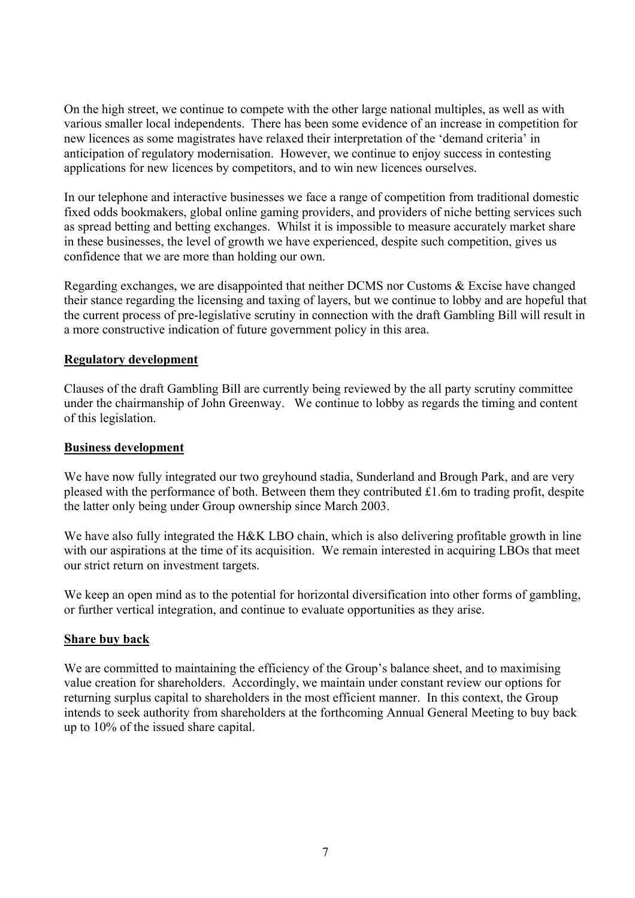On the high street, we continue to compete with the other large national multiples, as well as with various smaller local independents. There has been some evidence of an increase in competition for new licences as some magistrates have relaxed their interpretation of the 'demand criteria' in anticipation of regulatory modernisation. However, we continue to enjoy success in contesting applications for new licences by competitors, and to win new licences ourselves.

In our telephone and interactive businesses we face a range of competition from traditional domestic fixed odds bookmakers, global online gaming providers, and providers of niche betting services such as spread betting and betting exchanges. Whilst it is impossible to measure accurately market share in these businesses, the level of growth we have experienced, despite such competition, gives us confidence that we are more than holding our own.

Regarding exchanges, we are disappointed that neither DCMS nor Customs & Excise have changed their stance regarding the licensing and taxing of layers, but we continue to lobby and are hopeful that the current process of pre-legislative scrutiny in connection with the draft Gambling Bill will result in a more constructive indication of future government policy in this area.

### **Regulatory development**

Clauses of the draft Gambling Bill are currently being reviewed by the all party scrutiny committee under the chairmanship of John Greenway. We continue to lobby as regards the timing and content of this legislation.

#### **Business development**

We have now fully integrated our two greyhound stadia, Sunderland and Brough Park, and are very pleased with the performance of both. Between them they contributed £1.6m to trading profit, despite the latter only being under Group ownership since March 2003.

We have also fully integrated the H&K LBO chain, which is also delivering profitable growth in line with our aspirations at the time of its acquisition. We remain interested in acquiring LBOs that meet our strict return on investment targets.

We keep an open mind as to the potential for horizontal diversification into other forms of gambling, or further vertical integration, and continue to evaluate opportunities as they arise.

### **Share buy back**

We are committed to maintaining the efficiency of the Group's balance sheet, and to maximising value creation for shareholders. Accordingly, we maintain under constant review our options for returning surplus capital to shareholders in the most efficient manner. In this context, the Group intends to seek authority from shareholders at the forthcoming Annual General Meeting to buy back up to 10% of the issued share capital.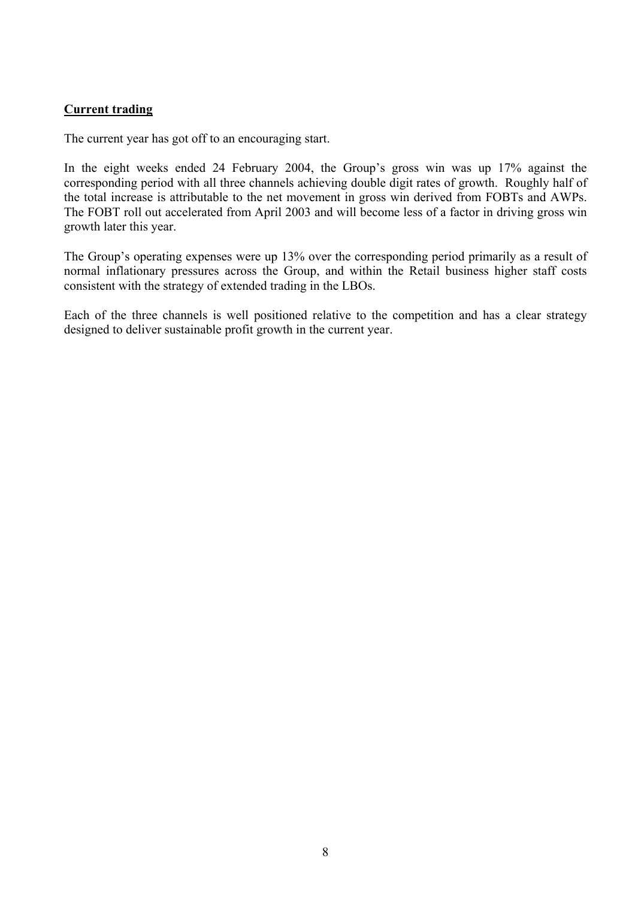### **Current trading**

The current year has got off to an encouraging start.

In the eight weeks ended 24 February 2004, the Group's gross win was up 17% against the corresponding period with all three channels achieving double digit rates of growth. Roughly half of the total increase is attributable to the net movement in gross win derived from FOBTs and AWPs. The FOBT roll out accelerated from April 2003 and will become less of a factor in driving gross win growth later this year.

The Group's operating expenses were up 13% over the corresponding period primarily as a result of normal inflationary pressures across the Group, and within the Retail business higher staff costs consistent with the strategy of extended trading in the LBOs.

Each of the three channels is well positioned relative to the competition and has a clear strategy designed to deliver sustainable profit growth in the current year.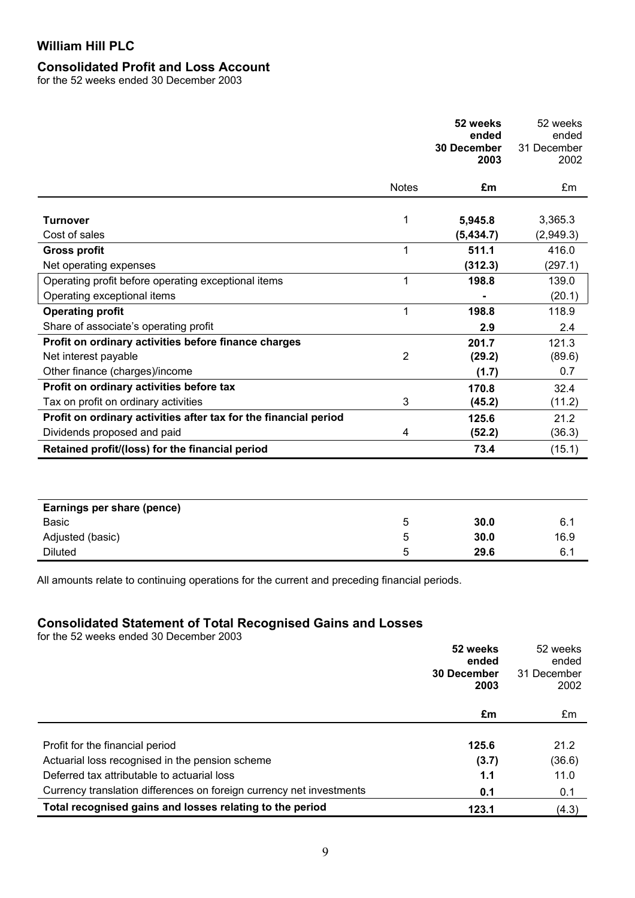# **Consolidated Profit and Loss Account**

for the 52 weeks ended 30 December 2003

|                                                                  |                | 52 weeks<br>ended<br>30 December<br>2003 | 52 weeks<br>ended<br>31 December<br>2002 |
|------------------------------------------------------------------|----------------|------------------------------------------|------------------------------------------|
|                                                                  | <b>Notes</b>   | £m                                       | £m                                       |
|                                                                  |                |                                          |                                          |
| <b>Turnover</b>                                                  | 1              | 5,945.8                                  | 3,365.3                                  |
| Cost of sales                                                    |                | (5,434.7)                                | (2,949.3)                                |
| <b>Gross profit</b>                                              | 1              | 511.1                                    | 416.0                                    |
| Net operating expenses                                           |                | (312.3)                                  | (297.1)                                  |
| Operating profit before operating exceptional items              | 1              | 198.8                                    | 139.0                                    |
| Operating exceptional items                                      |                |                                          | (20.1)                                   |
| <b>Operating profit</b>                                          | 1              | 198.8                                    | 118.9                                    |
| Share of associate's operating profit                            |                | 2.9                                      | 2.4                                      |
| Profit on ordinary activities before finance charges             |                | 201.7                                    | 121.3                                    |
| Net interest payable                                             | $\overline{2}$ | (29.2)                                   | (89.6)                                   |
| Other finance (charges)/income                                   |                | (1.7)                                    | 0.7                                      |
| Profit on ordinary activities before tax                         |                | 170.8                                    | 32.4                                     |
| Tax on profit on ordinary activities                             | 3              | (45.2)                                   | (11.2)                                   |
| Profit on ordinary activities after tax for the financial period |                | 125.6                                    | 21.2                                     |
| Dividends proposed and paid                                      | 4              | (52.2)                                   | (36.3)                                   |
| Retained profit/(loss) for the financial period                  |                | 73.4                                     | (15.1)                                   |
|                                                                  |                |                                          |                                          |
| Earnings per share (pence)                                       |                |                                          |                                          |
| <b>Basic</b>                                                     | 5              | 30.0                                     | 6.1                                      |
| Adjusted (basic)                                                 | 5              | 30.0                                     | 16.9                                     |
| <b>Diluted</b>                                                   | 5              | 29.6                                     | 6.1                                      |

All amounts relate to continuing operations for the current and preceding financial periods.

#### **Consolidated Statement of Total Recognised Gains and Losses**

for the 52 weeks ended 30 December 2003

|                                                                      | 52 weeks<br>ended  | 52 weeks             |
|----------------------------------------------------------------------|--------------------|----------------------|
|                                                                      | <b>30 December</b> | ended<br>31 December |
|                                                                      | 2003               | 2002                 |
|                                                                      | £m                 | £m                   |
|                                                                      |                    |                      |
| Profit for the financial period                                      | 125.6              | 21.2                 |
| Actuarial loss recognised in the pension scheme                      | (3.7)              | (36.6)               |
| Deferred tax attributable to actuarial loss                          | 1.1                | 11.0                 |
| Currency translation differences on foreign currency net investments | 0.1                | 0.1                  |
| Total recognised gains and losses relating to the period             | 123.1              | (4.3)                |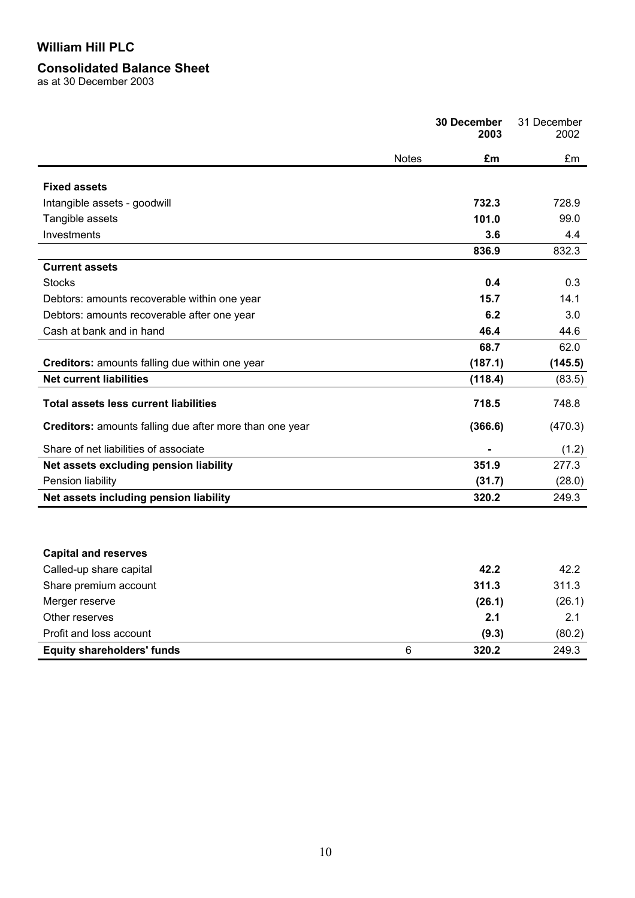### **Consolidated Balance Sheet**

as at 30 December 2003

|                                                         | 30 December<br>2003 | 31 December<br>2002 |
|---------------------------------------------------------|---------------------|---------------------|
| <b>Notes</b>                                            | £m                  | £m                  |
|                                                         |                     |                     |
| <b>Fixed assets</b>                                     |                     |                     |
| Intangible assets - goodwill                            | 732.3               | 728.9               |
| Tangible assets                                         | 101.0               | 99.0                |
| Investments                                             | 3.6                 | 4.4                 |
|                                                         | 836.9               | 832.3               |
| <b>Current assets</b>                                   |                     |                     |
| <b>Stocks</b>                                           | 0.4                 | 0.3                 |
| Debtors: amounts recoverable within one year            | 15.7                | 14.1                |
| Debtors: amounts recoverable after one year             | 6.2                 | 3.0                 |
| Cash at bank and in hand                                | 46.4                | 44.6                |
|                                                         | 68.7                | 62.0                |
| Creditors: amounts falling due within one year          | (187.1)             | (145.5)             |
| <b>Net current liabilities</b>                          | (118.4)             | (83.5)              |
| <b>Total assets less current liabilities</b>            | 718.5               | 748.8               |
| Creditors: amounts falling due after more than one year | (366.6)             | (470.3)             |
| Share of net liabilities of associate                   |                     | (1.2)               |
| Net assets excluding pension liability                  | 351.9               | 277.3               |
| Pension liability                                       | (31.7)              | (28.0)              |
| Net assets including pension liability                  | 320.2               | 249.3               |
|                                                         |                     |                     |
| <b>Capital and reserves</b>                             |                     |                     |
| Called-up share capital                                 | 42.2                | 42.2                |
| Share premium account                                   | 311.3               | 311.3               |
| Merger reserve                                          | (26.1)              | (26.1)              |
| Other reserves                                          | 2.1                 | 2.1                 |
| Profit and loss account                                 | (9.3)               | (80.2)              |
| $6\phantom{1}$<br><b>Equity shareholders' funds</b>     | 320.2               | 249.3               |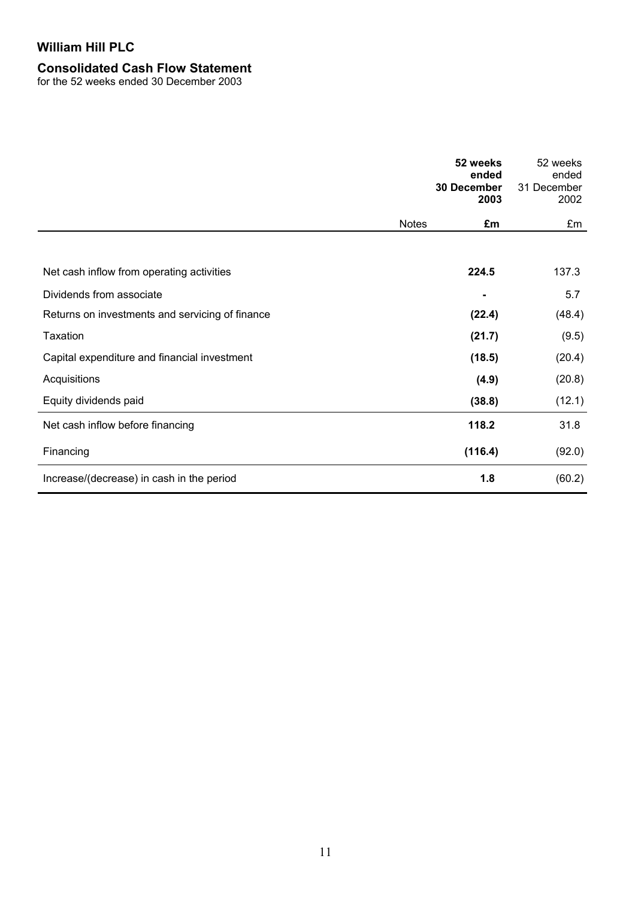## **Consolidated Cash Flow Statement**

for the 52 weeks ended 30 December 2003

|                                                 |              | 52 weeks<br>ended<br>30 December<br>2003 | 52 weeks<br>ended<br>31 December<br>2002 |
|-------------------------------------------------|--------------|------------------------------------------|------------------------------------------|
|                                                 | <b>Notes</b> | £m                                       | £m                                       |
|                                                 |              |                                          |                                          |
| Net cash inflow from operating activities       |              | 224.5                                    | 137.3                                    |
| Dividends from associate                        |              |                                          | 5.7                                      |
| Returns on investments and servicing of finance |              | (22.4)                                   | (48.4)                                   |
| Taxation                                        |              | (21.7)                                   | (9.5)                                    |
| Capital expenditure and financial investment    |              | (18.5)                                   | (20.4)                                   |
| Acquisitions                                    |              | (4.9)                                    | (20.8)                                   |
| Equity dividends paid                           |              | (38.8)                                   | (12.1)                                   |
| Net cash inflow before financing                |              | 118.2                                    | 31.8                                     |
| Financing                                       |              | (116.4)                                  | (92.0)                                   |
| Increase/(decrease) in cash in the period       |              | 1.8                                      | (60.2)                                   |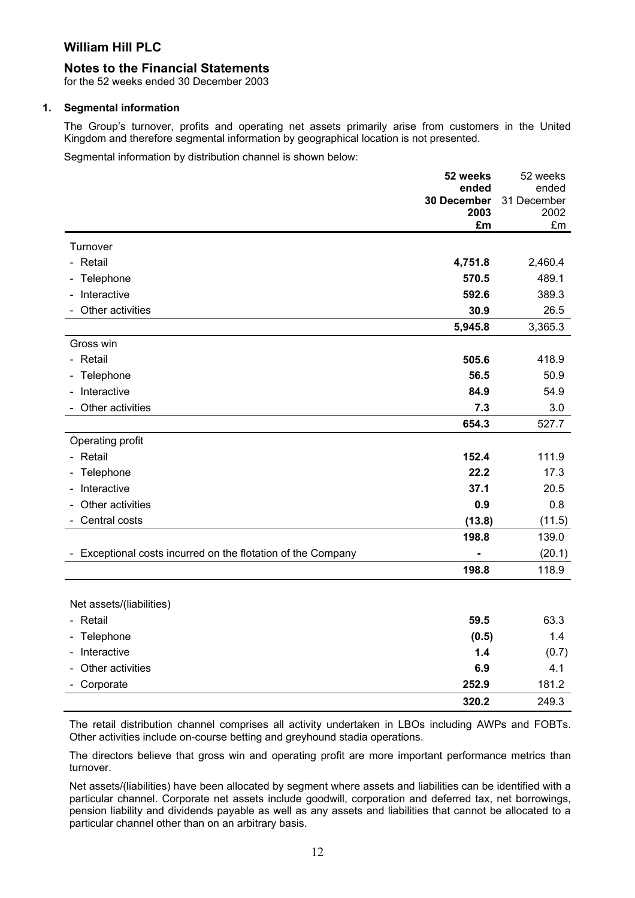#### **Notes to the Financial Statements**

for the 52 weeks ended 30 December 2003

#### **1. Segmental information**

The Group's turnover, profits and operating net assets primarily arise from customers in the United Kingdom and therefore segmental information by geographical location is not presented.

Segmental information by distribution channel is shown below:

|                                                            | 52 weeks             | 52 weeks             |
|------------------------------------------------------------|----------------------|----------------------|
|                                                            | ended<br>30 December | ended<br>31 December |
|                                                            | 2003                 | 2002                 |
|                                                            | £m                   | £m                   |
| Turnover                                                   |                      |                      |
| - Retail                                                   | 4,751.8              | 2,460.4              |
| - Telephone                                                | 570.5                | 489.1                |
| Interactive                                                | 592.6                | 389.3                |
| Other activities                                           | 30.9                 | 26.5                 |
|                                                            | 5,945.8              | 3,365.3              |
| Gross win                                                  |                      |                      |
| - Retail                                                   | 505.6                | 418.9                |
| - Telephone                                                | 56.5                 | 50.9                 |
| Interactive                                                | 84.9                 | 54.9                 |
| Other activities                                           | 7.3                  | 3.0                  |
|                                                            | 654.3                | 527.7                |
| Operating profit                                           |                      |                      |
| - Retail                                                   | 152.4                | 111.9                |
| Telephone                                                  | 22.2                 | 17.3                 |
| Interactive                                                | 37.1                 | 20.5                 |
| Other activities                                           | 0.9                  | 0.8                  |
| Central costs                                              | (13.8)               | (11.5)               |
|                                                            | 198.8                | 139.0                |
| Exceptional costs incurred on the flotation of the Company |                      | (20.1)               |
|                                                            | 198.8                | 118.9                |
|                                                            |                      |                      |
| Net assets/(liabilities)                                   |                      |                      |
| - Retail                                                   | 59.5                 | 63.3                 |
| - Telephone                                                | (0.5)                | 1.4                  |
| Interactive                                                | 1.4                  | (0.7)                |
| Other activities                                           | 6.9                  | 4.1                  |
| Corporate                                                  | 252.9                | 181.2                |
|                                                            | 320.2                | 249.3                |

The retail distribution channel comprises all activity undertaken in LBOs including AWPs and FOBTs. Other activities include on-course betting and greyhound stadia operations.

The directors believe that gross win and operating profit are more important performance metrics than turnover.

Net assets/(liabilities) have been allocated by segment where assets and liabilities can be identified with a particular channel. Corporate net assets include goodwill, corporation and deferred tax, net borrowings, pension liability and dividends payable as well as any assets and liabilities that cannot be allocated to a particular channel other than on an arbitrary basis.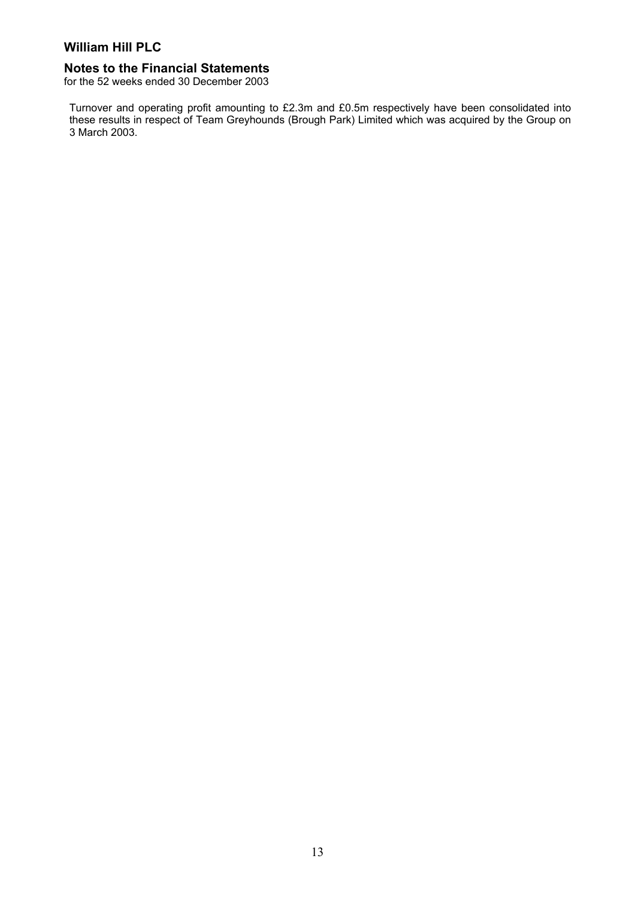#### **Notes to the Financial Statements**

for the 52 weeks ended 30 December 2003

Turnover and operating profit amounting to £2.3m and £0.5m respectively have been consolidated into these results in respect of Team Greyhounds (Brough Park) Limited which was acquired by the Group on 3 March 2003.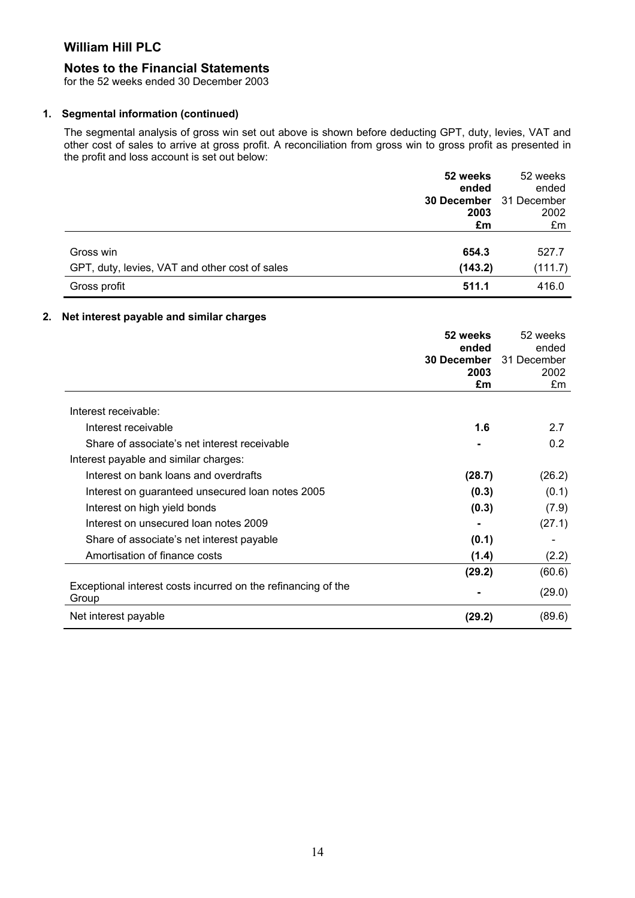### **Notes to the Financial Statements**

for the 52 weeks ended 30 December 2003

#### **1. Segmental information (continued)**

The segmental analysis of gross win set out above is shown before deducting GPT, duty, levies, VAT and other cost of sales to arrive at gross profit. A reconciliation from gross win to gross profit as presented in the profit and loss account is set out below:

|                                                | 52 weeks    | 52 weeks    |
|------------------------------------------------|-------------|-------------|
|                                                | ended       | ended       |
|                                                | 30 December | 31 December |
|                                                | 2003        | 2002        |
|                                                | £m          | £m          |
|                                                |             |             |
| Gross win                                      | 654.3       | 527.7       |
| GPT, duty, levies, VAT and other cost of sales | (143.2)     | (111.7)     |
| Gross profit                                   | 511.1       | 416.0       |

#### **2. Net interest payable and similar charges**

|                                                                        | 52 weeks           | 52 weeks    |
|------------------------------------------------------------------------|--------------------|-------------|
|                                                                        | ended              | ended       |
|                                                                        | <b>30 December</b> | 31 December |
|                                                                        | 2003               | 2002        |
|                                                                        | £m                 | £m          |
| Interest receivable:                                                   |                    |             |
| Interest receivable                                                    | 1.6                | 2.7         |
| Share of associate's net interest receivable                           |                    | 0.2         |
| Interest payable and similar charges:                                  |                    |             |
| Interest on bank loans and overdrafts                                  | (28.7)             | (26.2)      |
| Interest on guaranteed unsecured loan notes 2005                       | (0.3)              | (0.1)       |
| Interest on high yield bonds                                           | (0.3)              | (7.9)       |
| Interest on unsecured loan notes 2009                                  |                    | (27.1)      |
| Share of associate's net interest payable                              | (0.1)              |             |
| Amortisation of finance costs                                          | (1.4)              | (2.2)       |
|                                                                        | (29.2)             | (60.6)      |
| Exceptional interest costs incurred on the refinancing of the<br>Group |                    | (29.0)      |
| Net interest payable                                                   | (29.2)             | (89.6)      |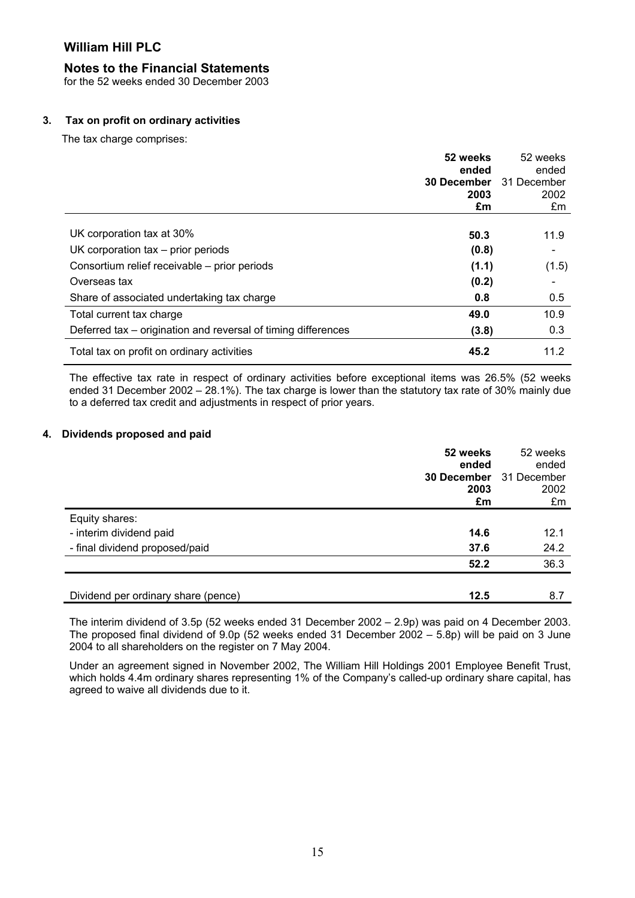#### **Notes to the Financial Statements**

for the 52 weeks ended 30 December 2003

#### **3. Tax on profit on ordinary activities**

The tax charge comprises:

|                                                               | 52 weeks           | 52 weeks    |
|---------------------------------------------------------------|--------------------|-------------|
|                                                               | ended              | ended       |
|                                                               | <b>30 December</b> | 31 December |
|                                                               | 2003               | 2002        |
|                                                               | £m                 | £m          |
|                                                               |                    |             |
| UK corporation tax at 30%                                     | 50.3               | 11.9        |
| UK corporation $tax - prior$ prior periods                    | (0.8)              |             |
| Consortium relief receivable – prior periods                  | (1.1)              | (1.5)       |
| Overseas tax                                                  | (0.2)              |             |
| Share of associated undertaking tax charge                    | 0.8                | 0.5         |
| Total current tax charge                                      | 49.0               | 10.9        |
| Deferred tax – origination and reversal of timing differences | (3.8)              | 0.3         |
| Total tax on profit on ordinary activities                    | 45.2               | 11.2        |

The effective tax rate in respect of ordinary activities before exceptional items was 26.5% (52 weeks ended 31 December 2002 – 28.1%). The tax charge is lower than the statutory tax rate of 30% mainly due to a deferred tax credit and adjustments in respect of prior years.

#### **4. Dividends proposed and paid**

|                                     | 52 weeks    | 52 weeks    |
|-------------------------------------|-------------|-------------|
|                                     | ended       | ended       |
|                                     | 30 December | 31 December |
|                                     | 2003        | 2002        |
|                                     | £m          | £m          |
| Equity shares:                      |             |             |
| - interim dividend paid             | 14.6        | 12.1        |
| - final dividend proposed/paid      | 37.6        | 24.2        |
|                                     | 52.2        | 36.3        |
|                                     |             |             |
| Dividend per ordinary share (pence) | 12.5        | 8.7         |

The interim dividend of 3.5p (52 weeks ended 31 December 2002 – 2.9p) was paid on 4 December 2003. The proposed final dividend of 9.0p (52 weeks ended 31 December 2002 – 5.8p) will be paid on 3 June 2004 to all shareholders on the register on 7 May 2004.

Under an agreement signed in November 2002, The William Hill Holdings 2001 Employee Benefit Trust, which holds 4.4m ordinary shares representing 1% of the Company's called-up ordinary share capital, has agreed to waive all dividends due to it.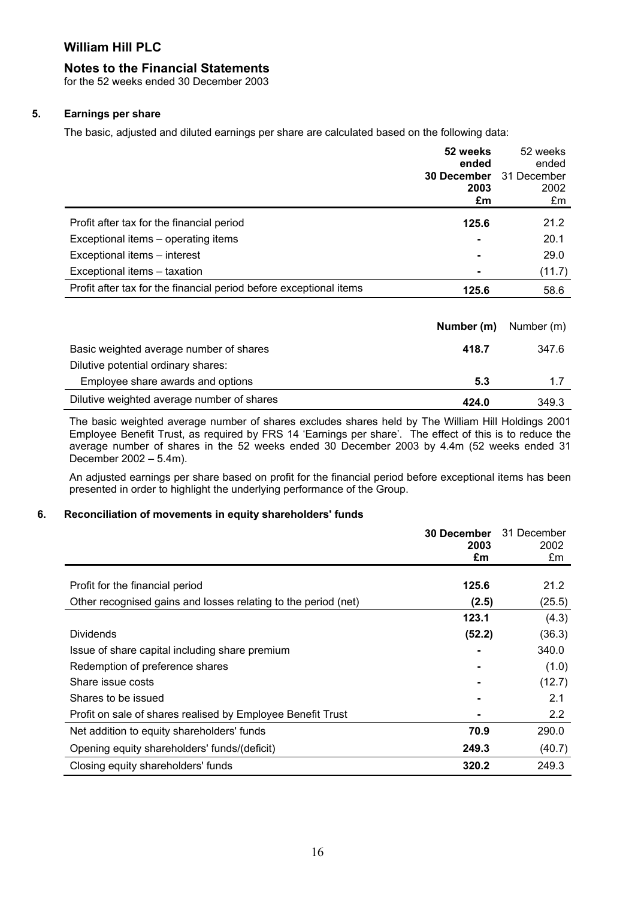#### **Notes to the Financial Statements**

for the 52 weeks ended 30 December 2003

#### **5. Earnings per share**

The basic, adjusted and diluted earnings per share are calculated based on the following data:

|                                                                    | 52 weeks<br>ended  | 52 weeks<br>ended |
|--------------------------------------------------------------------|--------------------|-------------------|
|                                                                    | <b>30 December</b> | 31 December       |
|                                                                    | 2003<br>£m         | 2002<br>£m        |
|                                                                    |                    |                   |
| Profit after tax for the financial period                          | 125.6              | 21.2              |
| Exceptional items - operating items                                |                    | 20.1              |
| Exceptional items - interest                                       |                    | 29.0              |
| Exceptional items - taxation                                       |                    | (11.7)            |
| Profit after tax for the financial period before exceptional items | 125.6              | 58.6              |

|                                            | <b>Number (m)</b> Number (m) |       |
|--------------------------------------------|------------------------------|-------|
| Basic weighted average number of shares    | 418.7                        | 347.6 |
| Dilutive potential ordinary shares:        |                              |       |
| Employee share awards and options          | 5.3                          | 1.7   |
| Dilutive weighted average number of shares | 424.0                        | 349.3 |

The basic weighted average number of shares excludes shares held by The William Hill Holdings 2001 Employee Benefit Trust, as required by FRS 14 'Earnings per share'. The effect of this is to reduce the average number of shares in the 52 weeks ended 30 December 2003 by 4.4m (52 weeks ended 31 December 2002 – 5.4m).

An adjusted earnings per share based on profit for the financial period before exceptional items has been presented in order to highlight the underlying performance of the Group.

#### **6. Reconciliation of movements in equity shareholders' funds**

|                                                                | <b>30 December</b><br>2003 | 31 December<br>2002 |
|----------------------------------------------------------------|----------------------------|---------------------|
|                                                                | £m                         | £m                  |
| Profit for the financial period                                | 125.6                      | 21.2                |
| Other recognised gains and losses relating to the period (net) | (2.5)                      | (25.5)              |
|                                                                | 123.1                      | (4.3)               |
| <b>Dividends</b>                                               | (52.2)                     | (36.3)              |
| Issue of share capital including share premium                 |                            | 340.0               |
| Redemption of preference shares                                |                            | (1.0)               |
| Share issue costs                                              |                            | (12.7)              |
| Shares to be issued                                            |                            | 2.1                 |
| Profit on sale of shares realised by Employee Benefit Trust    |                            | 2.2                 |
| Net addition to equity shareholders' funds                     | 70.9                       | 290.0               |
| Opening equity shareholders' funds/(deficit)                   | 249.3                      | (40.7)              |
| Closing equity shareholders' funds                             | 320.2                      | 249.3               |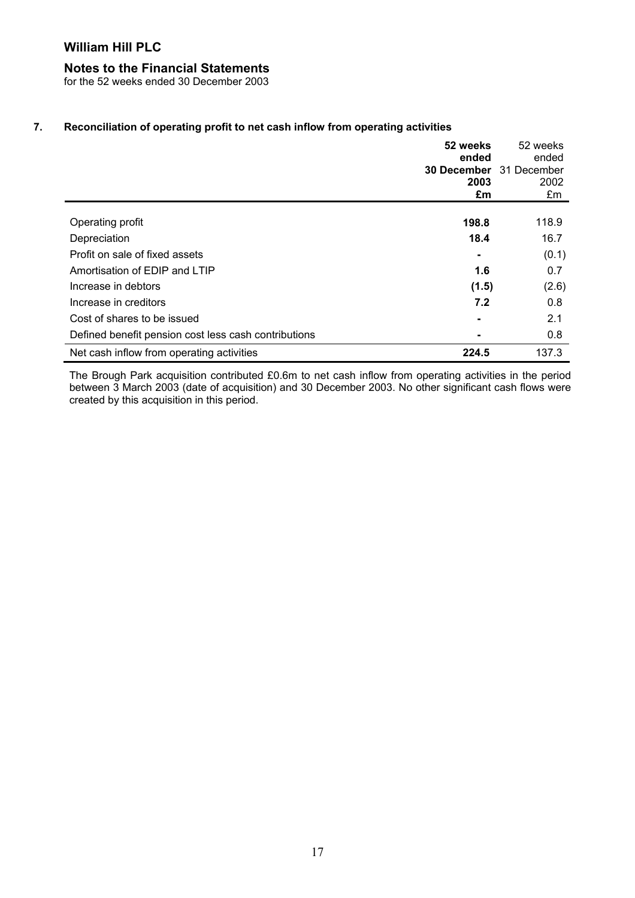## **Notes to the Financial Statements**

for the 52 weeks ended 30 December 2003

#### **7. Reconciliation of operating profit to net cash inflow from operating activities**

|                                                      | 52 weeks<br>ended              | 52 weeks<br>ended |
|------------------------------------------------------|--------------------------------|-------------------|
|                                                      | <b>30 December</b> 31 December |                   |
|                                                      | 2003                           | 2002              |
|                                                      | £m                             | £m                |
|                                                      |                                |                   |
| Operating profit                                     | 198.8                          | 118.9             |
| Depreciation                                         | 18.4                           | 16.7              |
| Profit on sale of fixed assets                       |                                | (0.1)             |
| Amortisation of EDIP and LTIP                        | 1.6                            | 0.7               |
| Increase in debtors                                  | (1.5)                          | (2.6)             |
| Increase in creditors                                | 7.2                            | 0.8               |
| Cost of shares to be issued                          | $\blacksquare$                 | 2.1               |
| Defined benefit pension cost less cash contributions |                                | 0.8               |
| Net cash inflow from operating activities            | 224.5                          | 137.3             |

The Brough Park acquisition contributed £0.6m to net cash inflow from operating activities in the period between 3 March 2003 (date of acquisition) and 30 December 2003. No other significant cash flows were created by this acquisition in this period.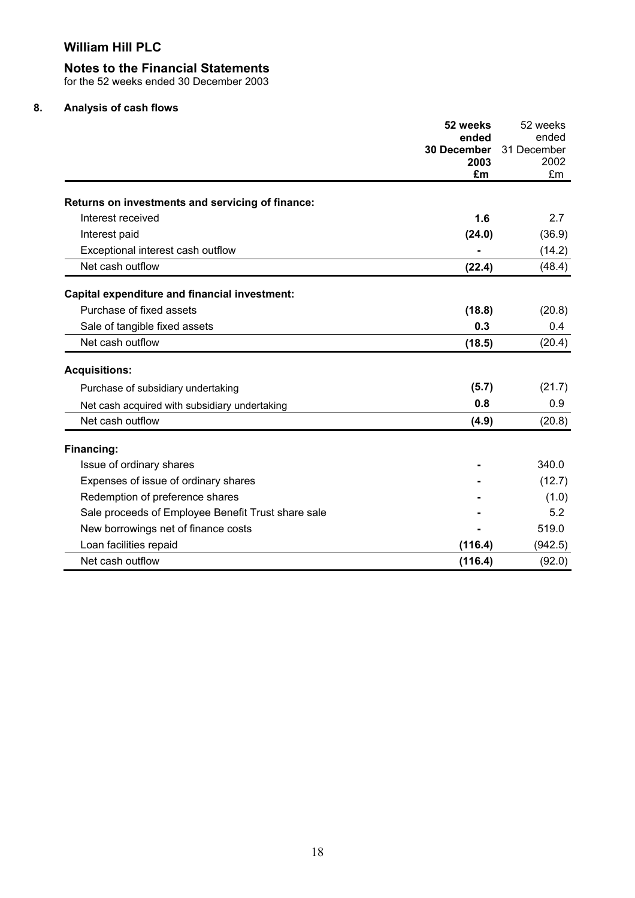#### **Notes to the Financial Statements**

for the 52 weeks ended 30 December 2003

## **8. Analysis of cash flows**

|                                                    | 52 weeks             | 52 weeks             |
|----------------------------------------------------|----------------------|----------------------|
|                                                    | ended<br>30 December | ended<br>31 December |
|                                                    | 2003                 | 2002                 |
|                                                    | £m                   | £m                   |
| Returns on investments and servicing of finance:   |                      |                      |
| Interest received                                  | 1.6                  | 2.7                  |
| Interest paid                                      | (24.0)               | (36.9)               |
| Exceptional interest cash outflow                  |                      | (14.2)               |
| Net cash outflow                                   | (22.4)               | (48.4)               |
| Capital expenditure and financial investment:      |                      |                      |
| Purchase of fixed assets                           | (18.8)               | (20.8)               |
| Sale of tangible fixed assets                      | 0.3                  | 0.4                  |
| Net cash outflow                                   | (18.5)               | (20.4)               |
| <b>Acquisitions:</b>                               |                      |                      |
| Purchase of subsidiary undertaking                 | (5.7)                | (21.7)               |
| Net cash acquired with subsidiary undertaking      | 0.8                  | 0.9                  |
| Net cash outflow                                   | (4.9)                | (20.8)               |
| Financing:                                         |                      |                      |
| Issue of ordinary shares                           |                      | 340.0                |
| Expenses of issue of ordinary shares               |                      | (12.7)               |
| Redemption of preference shares                    |                      | (1.0)                |
| Sale proceeds of Employee Benefit Trust share sale |                      | 5.2                  |
| New borrowings net of finance costs                |                      | 519.0                |
| Loan facilities repaid                             | (116.4)              | (942.5)              |
| Net cash outflow                                   | (116.4)              | (92.0)               |